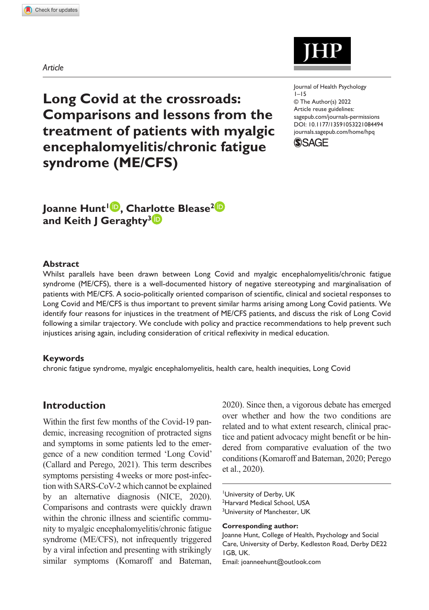*Article*



https://doi.org/10.1177/13591053221084494 DOI: 10.1177/13591053221084494 Journal of Health Psychology  $1 - 15$ © The Author(s) 2022 Article reuse guidelines: [sagepub.com/journals-permissions](https://uk.sagepub.com/en-gb/journals-permissions) [journals.sagepub.com/home/hpq](https://journals.sagepub.com/home/hpq)

**SSAGE** 

**Long Covid at the crossroads: Comparisons and lessons from the treatment of patients with myalgic encephalomyelitis/chronic fatigue syndrome (ME/CFS)**

Joanne Hunt<sup>1</sup><sup>.</sup>, Charlotte Blease<sup>2</sup><sup>.</sup> **and Keith J Geraghty3**

#### **Abstract**

Whilst parallels have been drawn between Long Covid and myalgic encephalomyelitis/chronic fatigue syndrome (ME/CFS), there is a well-documented history of negative stereotyping and marginalisation of patients with ME/CFS. A socio-politically oriented comparison of scientific, clinical and societal responses to Long Covid and ME/CFS is thus important to prevent similar harms arising among Long Covid patients. We identify four reasons for injustices in the treatment of ME/CFS patients, and discuss the risk of Long Covid following a similar trajectory. We conclude with policy and practice recommendations to help prevent such injustices arising again, including consideration of critical reflexivity in medical education.

#### **Keywords**

chronic fatigue syndrome, myalgic encephalomyelitis, health care, health inequities, Long Covid

## **Introduction**

Within the first few months of the Covid-19 pandemic, increasing recognition of protracted signs and symptoms in some patients led to the emergence of a new condition termed 'Long Covid' (Callard and Perego, 2021). This term describes symptoms persisting 4weeks or more post-infection with SARS-CoV-2 which cannot be explained by an alternative diagnosis (NICE, 2020). Comparisons and contrasts were quickly drawn within the chronic illness and scientific community to myalgic encephalomyelitis/chronic fatigue syndrome (ME/CFS), not infrequently triggered by a viral infection and presenting with strikingly similar symptoms (Komaroff and Bateman,

2020). Since then, a vigorous debate has emerged over whether and how the two conditions are related and to what extent research, clinical practice and patient advocacy might benefit or be hindered from comparative evaluation of the two conditions (Komaroff and Bateman, 2020; Perego et al., 2020).

<sup>1</sup> University of Derby, UK

<sup>2</sup> Harvard Medical School, USA <sup>3</sup>University of Manchester, UK

**Corresponding author:**

Joanne Hunt, College of Health, Psychology and Social Care, University of Derby, Kedleston Road, Derby DE22 1GB, UK.

Email: [joanneehunt@outlook.com](mailto:joanneehunt@outlook.com)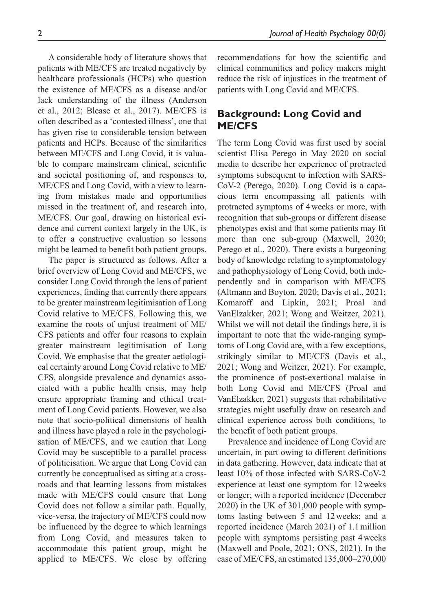A considerable body of literature shows that patients with ME/CFS are treated negatively by healthcare professionals (HCPs) who question the existence of ME/CFS as a disease and/or lack understanding of the illness (Anderson et al., 2012; Blease et al., 2017). ME/CFS is often described as a 'contested illness', one that has given rise to considerable tension between patients and HCPs. Because of the similarities between ME/CFS and Long Covid, it is valuable to compare mainstream clinical, scientific and societal positioning of, and responses to, ME/CFS and Long Covid, with a view to learning from mistakes made and opportunities missed in the treatment of, and research into, ME/CFS. Our goal, drawing on historical evidence and current context largely in the UK, is to offer a constructive evaluation so lessons might be learned to benefit both patient groups.

The paper is structured as follows. After a brief overview of Long Covid and ME/CFS, we consider Long Covid through the lens of patient experiences, finding that currently there appears to be greater mainstream legitimisation of Long Covid relative to ME/CFS. Following this, we examine the roots of unjust treatment of ME/ CFS patients and offer four reasons to explain greater mainstream legitimisation of Long Covid. We emphasise that the greater aetiological certainty around Long Covid relative to ME/ CFS, alongside prevalence and dynamics associated with a public health crisis, may help ensure appropriate framing and ethical treatment of Long Covid patients. However, we also note that socio-political dimensions of health and illness have played a role in the psychologisation of ME/CFS, and we caution that Long Covid may be susceptible to a parallel process of politicisation. We argue that Long Covid can currently be conceptualised as sitting at a crossroads and that learning lessons from mistakes made with ME/CFS could ensure that Long Covid does not follow a similar path. Equally, vice-versa, the trajectory of ME/CFS could now be influenced by the degree to which learnings from Long Covid, and measures taken to accommodate this patient group, might be applied to ME/CFS. We close by offering recommendations for how the scientific and clinical communities and policy makers might reduce the risk of injustices in the treatment of patients with Long Covid and ME/CFS.

# **Background: Long Covid and ME/CFS**

The term Long Covid was first used by social scientist Elisa Perego in May 2020 on social media to describe her experience of protracted symptoms subsequent to infection with SARS-CoV-2 (Perego, 2020). Long Covid is a capacious term encompassing all patients with protracted symptoms of 4weeks or more, with recognition that sub-groups or different disease phenotypes exist and that some patients may fit more than one sub-group (Maxwell, 2020; Perego et al., 2020). There exists a burgeoning body of knowledge relating to symptomatology and pathophysiology of Long Covid, both independently and in comparison with ME/CFS (Altmann and Boyton, 2020; Davis et al., 2021; Komaroff and Lipkin, 2021; Proal and VanElzakker, 2021; Wong and Weitzer, 2021). Whilst we will not detail the findings here, it is important to note that the wide-ranging symptoms of Long Covid are, with a few exceptions, strikingly similar to ME/CFS (Davis et al., 2021; Wong and Weitzer, 2021). For example, the prominence of post-exertional malaise in both Long Covid and ME/CFS (Proal and VanElzakker, 2021) suggests that rehabilitative strategies might usefully draw on research and clinical experience across both conditions, to the benefit of both patient groups.

Prevalence and incidence of Long Covid are uncertain, in part owing to different definitions in data gathering. However, data indicate that at least 10% of those infected with SARS-CoV-2 experience at least one symptom for 12weeks or longer; with a reported incidence (December 2020) in the UK of 301,000 people with symptoms lasting between 5 and 12weeks; and a reported incidence (March 2021) of 1.1million people with symptoms persisting past 4weeks (Maxwell and Poole, 2021; ONS, 2021). In the case of ME/CFS, an estimated 135,000–270,000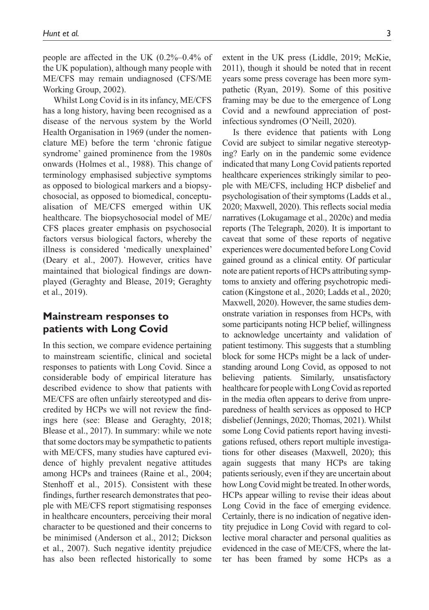people are affected in the UK (0.2%–0.4% of the UK population), although many people with ME/CFS may remain undiagnosed (CFS/ME Working Group, 2002).

Whilst Long Covid is in its infancy, ME/CFS has a long history, having been recognised as a disease of the nervous system by the World Health Organisation in 1969 (under the nomenclature ME) before the term 'chronic fatigue syndrome' gained prominence from the 1980s onwards (Holmes et al., 1988). This change of terminology emphasised subjective symptoms as opposed to biological markers and a biopsychosocial, as opposed to biomedical, conceptualisation of ME/CFS emerged within UK healthcare. The biopsychosocial model of ME/ CFS places greater emphasis on psychosocial factors versus biological factors, whereby the illness is considered 'medically unexplained' (Deary et al., 2007). However, critics have maintained that biological findings are downplayed (Geraghty and Blease, 2019; Geraghty et al., 2019).

## **Mainstream responses to patients with Long Covid**

In this section, we compare evidence pertaining to mainstream scientific, clinical and societal responses to patients with Long Covid. Since a considerable body of empirical literature has described evidence to show that patients with ME/CFS are often unfairly stereotyped and discredited by HCPs we will not review the findings here (see: Blease and Geraghty, 2018; Blease et al., 2017). In summary: while we note that some doctors may be sympathetic to patients with ME/CFS, many studies have captured evidence of highly prevalent negative attitudes among HCPs and trainees (Raine et al., 2004; Stenhoff et al., 2015). Consistent with these findings, further research demonstrates that people with ME/CFS report stigmatising responses in healthcare encounters, perceiving their moral character to be questioned and their concerns to be minimised (Anderson et al., 2012; Dickson et al., 2007). Such negative identity prejudice has also been reflected historically to some extent in the UK press (Liddle, 2019; McKie, 2011), though it should be noted that in recent years some press coverage has been more sympathetic (Ryan, 2019). Some of this positive framing may be due to the emergence of Long Covid and a newfound appreciation of postinfectious syndromes (O'Neill, 2020).

Is there evidence that patients with Long Covid are subject to similar negative stereotyping? Early on in the pandemic some evidence indicated that many Long Covid patients reported healthcare experiences strikingly similar to people with ME/CFS, including HCP disbelief and psychologisation of their symptoms (Ladds et al., 2020; Maxwell, 2020). This reflects social media narratives (Lokugamage et al., 2020c) and media reports (The Telegraph, 2020). It is important to caveat that some of these reports of negative experiences were documented before Long Covid gained ground as a clinical entity. Of particular note are patient reports of HCPs attributing symptoms to anxiety and offering psychotropic medication (Kingstone et al., 2020; Ladds et al., 2020; Maxwell, 2020). However, the same studies demonstrate variation in responses from HCPs, with some participants noting HCP belief, willingness to acknowledge uncertainty and validation of patient testimony. This suggests that a stumbling block for some HCPs might be a lack of understanding around Long Covid, as opposed to not believing patients. Similarly, unsatisfactory healthcare for people with Long Covid as reported in the media often appears to derive from unpreparedness of health services as opposed to HCP disbelief (Jennings, 2020; Thomas, 2021). Whilst some Long Covid patients report having investigations refused, others report multiple investigations for other diseases (Maxwell, 2020); this again suggests that many HCPs are taking patients seriously, even if they are uncertain about how Long Covid might be treated. In other words, HCPs appear willing to revise their ideas about Long Covid in the face of emerging evidence. Certainly, there is no indication of negative identity prejudice in Long Covid with regard to collective moral character and personal qualities as evidenced in the case of ME/CFS, where the latter has been framed by some HCPs as a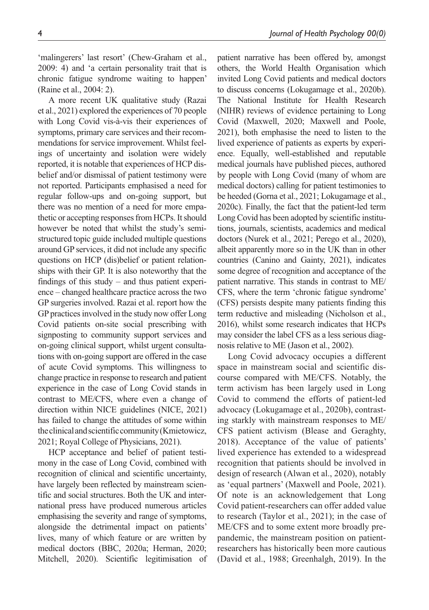'malingerers' last resort' (Chew-Graham et al., 2009: 4) and 'a certain personality trait that is chronic fatigue syndrome waiting to happen' (Raine et al., 2004: 2).

A more recent UK qualitative study (Razai et al., 2021) explored the experiences of 70 people with Long Covid vis-à-vis their experiences of symptoms, primary care services and their recommendations for service improvement. Whilst feelings of uncertainty and isolation were widely reported, it is notable that experiences of HCP disbelief and/or dismissal of patient testimony were not reported. Participants emphasised a need for regular follow-ups and on-going support, but there was no mention of a need for more empathetic or accepting responses from HCPs. It should however be noted that whilst the study's semistructured topic guide included multiple questions around GP services, it did not include any specific questions on HCP (dis)belief or patient relationships with their GP. It is also noteworthy that the findings of this study – and thus patient experience – changed healthcare practice across the two GP surgeries involved. Razai et al. report how the GP practices involved in the study now offer Long Covid patients on-site social prescribing with signposting to community support services and on-going clinical support, whilst urgent consultations with on-going support are offered in the case of acute Covid symptoms. This willingness to change practice in response to research and patient experience in the case of Long Covid stands in contrast to ME/CFS, where even a change of direction within NICE guidelines (NICE, 2021) has failed to change the attitudes of some within the clinical and scientific community (Kmietowicz, 2021; Royal College of Physicians, 2021).

HCP acceptance and belief of patient testimony in the case of Long Covid, combined with recognition of clinical and scientific uncertainty, have largely been reflected by mainstream scientific and social structures. Both the UK and international press have produced numerous articles emphasising the severity and range of symptoms, alongside the detrimental impact on patients' lives, many of which feature or are written by medical doctors (BBC, 2020a; Herman, 2020; Mitchell, 2020). Scientific legitimisation of patient narrative has been offered by, amongst others, the World Health Organisation which invited Long Covid patients and medical doctors to discuss concerns (Lokugamage et al., 2020b). The National Institute for Health Research (NIHR) reviews of evidence pertaining to Long Covid (Maxwell, 2020; Maxwell and Poole, 2021), both emphasise the need to listen to the lived experience of patients as experts by experience. Equally, well-established and reputable medical journals have published pieces, authored by people with Long Covid (many of whom are medical doctors) calling for patient testimonies to be heeded (Gorna et al., 2021; Lokugamage et al., 2020c). Finally, the fact that the patient-led term Long Covid has been adopted by scientific institutions, journals, scientists, academics and medical doctors (Nurek et al., 2021; Perego et al., 2020), albeit apparently more so in the UK than in other countries (Canino and Gainty, 2021), indicates some degree of recognition and acceptance of the patient narrative. This stands in contrast to ME/ CFS, where the term 'chronic fatigue syndrome' (CFS) persists despite many patients finding this term reductive and misleading (Nicholson et al., 2016), whilst some research indicates that HCPs may consider the label CFS as a less serious diagnosis relative to ME (Jason et al., 2002).

Long Covid advocacy occupies a different space in mainstream social and scientific discourse compared with ME/CFS. Notably, the term activism has been largely used in Long Covid to commend the efforts of patient-led advocacy (Lokugamage et al., 2020b), contrasting starkly with mainstream responses to ME/ CFS patient activism (Blease and Geraghty, 2018). Acceptance of the value of patients' lived experience has extended to a widespread recognition that patients should be involved in design of research (Alwan et al., 2020), notably as 'equal partners' (Maxwell and Poole, 2021). Of note is an acknowledgement that Long Covid patient-researchers can offer added value to research (Taylor et al., 2021); in the case of ME/CFS and to some extent more broadly prepandemic, the mainstream position on patientresearchers has historically been more cautious (David et al., 1988; Greenhalgh, 2019). In the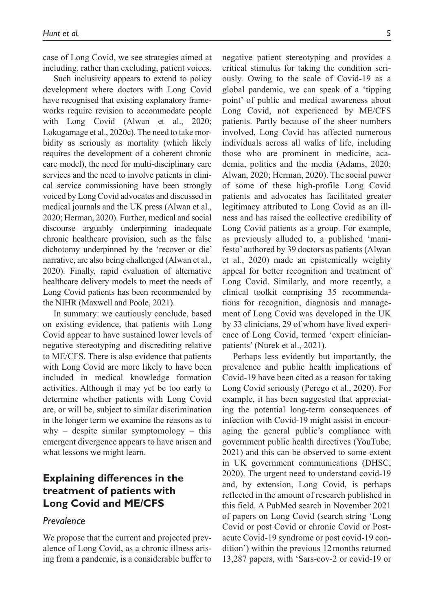case of Long Covid, we see strategies aimed at including, rather than excluding, patient voices.

Such inclusivity appears to extend to policy development where doctors with Long Covid have recognised that existing explanatory frameworks require revision to accommodate people with Long Covid (Alwan et al., 2020; Lokugamage et al., 2020c). The need to take morbidity as seriously as mortality (which likely requires the development of a coherent chronic care model), the need for multi-disciplinary care services and the need to involve patients in clinical service commissioning have been strongly voiced by Long Covid advocates and discussed in medical journals and the UK press (Alwan et al., 2020; Herman, 2020). Further, medical and social discourse arguably underpinning inadequate chronic healthcare provision, such as the false dichotomy underpinned by the 'recover or die' narrative, are also being challenged (Alwan et al., 2020). Finally, rapid evaluation of alternative healthcare delivery models to meet the needs of Long Covid patients has been recommended by the NIHR (Maxwell and Poole, 2021).

In summary: we cautiously conclude, based on existing evidence, that patients with Long Covid appear to have sustained lower levels of negative stereotyping and discrediting relative to ME/CFS. There is also evidence that patients with Long Covid are more likely to have been included in medical knowledge formation activities. Although it may yet be too early to determine whether patients with Long Covid are, or will be, subject to similar discrimination in the longer term we examine the reasons as to why – despite similar symptomology – this emergent divergence appears to have arisen and what lessons we might learn.

# **Explaining differences in the treatment of patients with Long Covid and ME/CFS**

### *Prevalence*

We propose that the current and projected prevalence of Long Covid, as a chronic illness arising from a pandemic, is a considerable buffer to negative patient stereotyping and provides a critical stimulus for taking the condition seriously. Owing to the scale of Covid-19 as a global pandemic, we can speak of a 'tipping point' of public and medical awareness about Long Covid, not experienced by ME/CFS patients. Partly because of the sheer numbers involved, Long Covid has affected numerous individuals across all walks of life, including those who are prominent in medicine, academia, politics and the media (Adams, 2020; Alwan, 2020; Herman, 2020). The social power of some of these high-profile Long Covid patients and advocates has facilitated greater legitimacy attributed to Long Covid as an illness and has raised the collective credibility of Long Covid patients as a group. For example, as previously alluded to, a published 'manifesto' authored by 39 doctors as patients (Alwan et al., 2020) made an epistemically weighty appeal for better recognition and treatment of Long Covid. Similarly, and more recently, a clinical toolkit comprising 35 recommendations for recognition, diagnosis and management of Long Covid was developed in the UK by 33 clinicians, 29 of whom have lived experience of Long Covid, termed 'expert clinicianpatients' (Nurek et al., 2021).

Perhaps less evidently but importantly, the prevalence and public health implications of Covid-19 have been cited as a reason for taking Long Covid seriously (Perego et al., 2020). For example, it has been suggested that appreciating the potential long-term consequences of infection with Covid-19 might assist in encouraging the general public's compliance with government public health directives (YouTube, 2021) and this can be observed to some extent in UK government communications (DHSC, 2020). The urgent need to understand covid-19 and, by extension, Long Covid, is perhaps reflected in the amount of research published in this field. A PubMed search in November 2021 of papers on Long Covid (search string 'Long Covid or post Covid or chronic Covid or Postacute Covid-19 syndrome or post covid-19 condition') within the previous 12months returned 13,287 papers, with 'Sars-cov-2 or covid-19 or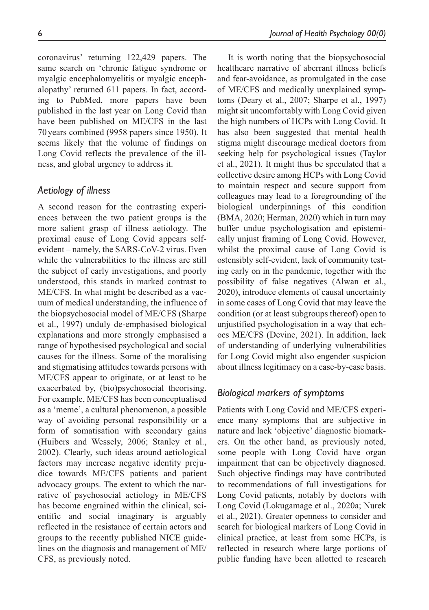coronavirus' returning 122,429 papers. The same search on 'chronic fatigue syndrome or myalgic encephalomyelitis or myalgic encephalopathy' returned 611 papers. In fact, according to PubMed, more papers have been published in the last year on Long Covid than have been published on ME/CFS in the last 70years combined (9958 papers since 1950). It seems likely that the volume of findings on Long Covid reflects the prevalence of the illness, and global urgency to address it.

## *Aetiology of illness*

A second reason for the contrasting experiences between the two patient groups is the more salient grasp of illness aetiology. The proximal cause of Long Covid appears selfevident – namely, the SARS-CoV-2 virus. Even while the vulnerabilities to the illness are still the subject of early investigations, and poorly understood, this stands in marked contrast to ME/CFS. In what might be described as a vacuum of medical understanding, the influence of the biopsychosocial model of ME/CFS (Sharpe et al., 1997) unduly de-emphasised biological explanations and more strongly emphasised a range of hypothesised psychological and social causes for the illness. Some of the moralising and stigmatising attitudes towards persons with ME/CFS appear to originate, or at least to be exacerbated by, (bio)psychosocial theorising. For example, ME/CFS has been conceptualised as a 'meme', a cultural phenomenon, a possible way of avoiding personal responsibility or a form of somatisation with secondary gains (Huibers and Wessely, 2006; Stanley et al., 2002). Clearly, such ideas around aetiological factors may increase negative identity prejudice towards ME/CFS patients and patient advocacy groups. The extent to which the narrative of psychosocial aetiology in ME/CFS has become engrained within the clinical, scientific and social imaginary is arguably reflected in the resistance of certain actors and groups to the recently published NICE guidelines on the diagnosis and management of ME/ CFS, as previously noted.

It is worth noting that the biopsychosocial healthcare narrative of aberrant illness beliefs and fear-avoidance, as promulgated in the case of ME/CFS and medically unexplained symptoms (Deary et al., 2007; Sharpe et al., 1997) might sit uncomfortably with Long Covid given the high numbers of HCPs with Long Covid. It has also been suggested that mental health stigma might discourage medical doctors from seeking help for psychological issues (Taylor et al., 2021). It might thus be speculated that a collective desire among HCPs with Long Covid to maintain respect and secure support from colleagues may lead to a foregrounding of the biological underpinnings of this condition (BMA, 2020; Herman, 2020) which in turn may buffer undue psychologisation and epistemically unjust framing of Long Covid. However, whilst the proximal cause of Long Covid is ostensibly self-evident, lack of community testing early on in the pandemic, together with the possibility of false negatives (Alwan et al., 2020), introduce elements of causal uncertainty in some cases of Long Covid that may leave the condition (or at least subgroups thereof) open to unjustified psychologisation in a way that echoes ME/CFS (Devine, 2021). In addition, lack of understanding of underlying vulnerabilities for Long Covid might also engender suspicion about illness legitimacy on a case-by-case basis.

## *Biological markers of symptoms*

Patients with Long Covid and ME/CFS experience many symptoms that are subjective in nature and lack 'objective' diagnostic biomarkers. On the other hand, as previously noted, some people with Long Covid have organ impairment that can be objectively diagnosed. Such objective findings may have contributed to recommendations of full investigations for Long Covid patients, notably by doctors with Long Covid (Lokugamage et al., 2020a; Nurek et al., 2021). Greater openness to consider and search for biological markers of Long Covid in clinical practice, at least from some HCPs, is reflected in research where large portions of public funding have been allotted to research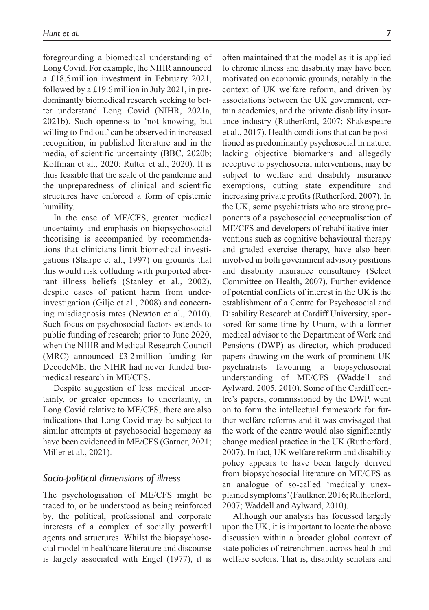foregrounding a biomedical understanding of Long Covid. For example, the NIHR announced a £18.5million investment in February 2021, followed by a £19.6 million in July 2021, in predominantly biomedical research seeking to better understand Long Covid (NIHR, 2021a, 2021b). Such openness to 'not knowing, but willing to find out' can be observed in increased recognition, in published literature and in the media, of scientific uncertainty (BBC, 2020b; Koffman et al., 2020; Rutter et al., 2020). It is thus feasible that the scale of the pandemic and the unpreparedness of clinical and scientific structures have enforced a form of epistemic humility.

In the case of ME/CFS, greater medical uncertainty and emphasis on biopsychosocial theorising is accompanied by recommendations that clinicians limit biomedical investigations (Sharpe et al., 1997) on grounds that this would risk colluding with purported aberrant illness beliefs (Stanley et al., 2002), despite cases of patient harm from underinvestigation (Gilje et al., 2008) and concerning misdiagnosis rates (Newton et al., 2010). Such focus on psychosocial factors extends to public funding of research; prior to June 2020, when the NIHR and Medical Research Council (MRC) announced £3.2million funding for DecodeME, the NIHR had never funded biomedical research in ME/CFS.

Despite suggestion of less medical uncertainty, or greater openness to uncertainty, in Long Covid relative to ME/CFS, there are also indications that Long Covid may be subject to similar attempts at psychosocial hegemony as have been evidenced in ME/CFS (Garner, 2021; Miller et al., 2021).

### *Socio-political dimensions of illness*

The psychologisation of ME/CFS might be traced to, or be understood as being reinforced by, the political, professional and corporate interests of a complex of socially powerful agents and structures. Whilst the biopsychosocial model in healthcare literature and discourse is largely associated with Engel (1977), it is often maintained that the model as it is applied to chronic illness and disability may have been motivated on economic grounds, notably in the context of UK welfare reform, and driven by associations between the UK government, certain academics, and the private disability insurance industry (Rutherford, 2007; Shakespeare et al., 2017). Health conditions that can be positioned as predominantly psychosocial in nature, lacking objective biomarkers and allegedly receptive to psychosocial interventions, may be subject to welfare and disability insurance exemptions, cutting state expenditure and increasing private profits (Rutherford, 2007). In the UK, some psychiatrists who are strong proponents of a psychosocial conceptualisation of ME/CFS and developers of rehabilitative interventions such as cognitive behavioural therapy and graded exercise therapy, have also been involved in both government advisory positions and disability insurance consultancy (Select Committee on Health, 2007). Further evidence of potential conflicts of interest in the UK is the establishment of a Centre for Psychosocial and Disability Research at Cardiff University, sponsored for some time by Unum, with a former medical advisor to the Department of Work and Pensions (DWP) as director, which produced papers drawing on the work of prominent UK psychiatrists favouring a biopsychosocial understanding of ME/CFS (Waddell and Aylward, 2005, 2010). Some of the Cardiff centre's papers, commissioned by the DWP, went on to form the intellectual framework for further welfare reforms and it was envisaged that the work of the centre would also significantly change medical practice in the UK (Rutherford, 2007). In fact, UK welfare reform and disability policy appears to have been largely derived from biopsychosocial literature on ME/CFS as an analogue of so-called 'medically unexplained symptoms' (Faulkner, 2016; Rutherford, 2007; Waddell and Aylward, 2010).

Although our analysis has focussed largely upon the UK, it is important to locate the above discussion within a broader global context of state policies of retrenchment across health and welfare sectors. That is, disability scholars and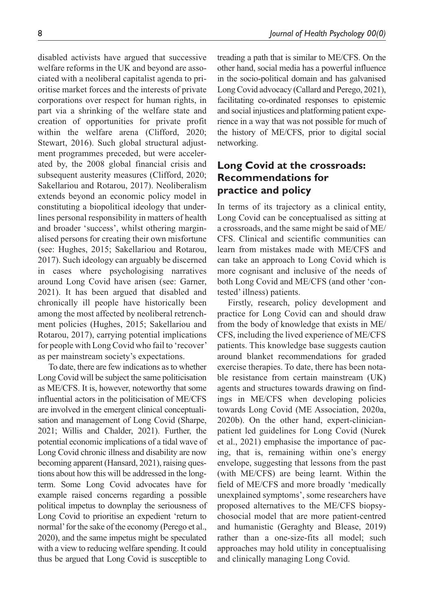disabled activists have argued that successive welfare reforms in the UK and beyond are associated with a neoliberal capitalist agenda to prioritise market forces and the interests of private corporations over respect for human rights, in part via a shrinking of the welfare state and creation of opportunities for private profit within the welfare arena (Clifford, 2020; Stewart, 2016). Such global structural adjustment programmes preceded, but were accelerated by, the 2008 global financial crisis and subsequent austerity measures (Clifford, 2020; Sakellariou and Rotarou, 2017). Neoliberalism extends beyond an economic policy model in constituting a biopolitical ideology that underlines personal responsibility in matters of health and broader 'success', whilst othering marginalised persons for creating their own misfortune (see: Hughes, 2015; Sakellariou and Rotarou, 2017). Such ideology can arguably be discerned in cases where psychologising narratives around Long Covid have arisen (see: Garner, 2021). It has been argued that disabled and chronically ill people have historically been among the most affected by neoliberal retrenchment policies (Hughes, 2015; Sakellariou and Rotarou, 2017), carrying potential implications for people with Long Covid who fail to 'recover' as per mainstream society's expectations.

To date, there are few indications as to whether Long Covid will be subject the same politicisation as ME/CFS. It is, however, noteworthy that some influential actors in the politicisation of ME/CFS are involved in the emergent clinical conceptualisation and management of Long Covid (Sharpe, 2021; Willis and Chalder, 2021). Further, the potential economic implications of a tidal wave of Long Covid chronic illness and disability are now becoming apparent (Hansard, 2021), raising questions about how this will be addressed in the longterm. Some Long Covid advocates have for example raised concerns regarding a possible political impetus to downplay the seriousness of Long Covid to prioritise an expedient 'return to normal' for the sake of the economy (Perego et al., 2020), and the same impetus might be speculated with a view to reducing welfare spending. It could thus be argued that Long Covid is susceptible to

treading a path that is similar to ME/CFS. On the other hand, social media has a powerful influence in the socio-political domain and has galvanised Long Covid advocacy (Callard and Perego, 2021), facilitating co-ordinated responses to epistemic and social injustices and platforming patient experience in a way that was not possible for much of the history of ME/CFS, prior to digital social networking.

# **Long Covid at the crossroads: Recommendations for practice and policy**

In terms of its trajectory as a clinical entity, Long Covid can be conceptualised as sitting at a crossroads, and the same might be said of ME/ CFS. Clinical and scientific communities can learn from mistakes made with ME/CFS and can take an approach to Long Covid which is more cognisant and inclusive of the needs of both Long Covid and ME/CFS (and other 'contested' illness) patients.

Firstly, research, policy development and practice for Long Covid can and should draw from the body of knowledge that exists in ME/ CFS, including the lived experience of ME/CFS patients. This knowledge base suggests caution around blanket recommendations for graded exercise therapies. To date, there has been notable resistance from certain mainstream (UK) agents and structures towards drawing on findings in ME/CFS when developing policies towards Long Covid (ME Association, 2020a, 2020b). On the other hand, expert-clinicianpatient led guidelines for Long Covid (Nurek et al., 2021) emphasise the importance of pacing, that is, remaining within one's energy envelope, suggesting that lessons from the past (with ME/CFS) are being learnt. Within the field of ME/CFS and more broadly 'medically unexplained symptoms', some researchers have proposed alternatives to the ME/CFS biopsychosocial model that are more patient-centred and humanistic (Geraghty and Blease, 2019) rather than a one-size-fits all model; such approaches may hold utility in conceptualising and clinically managing Long Covid.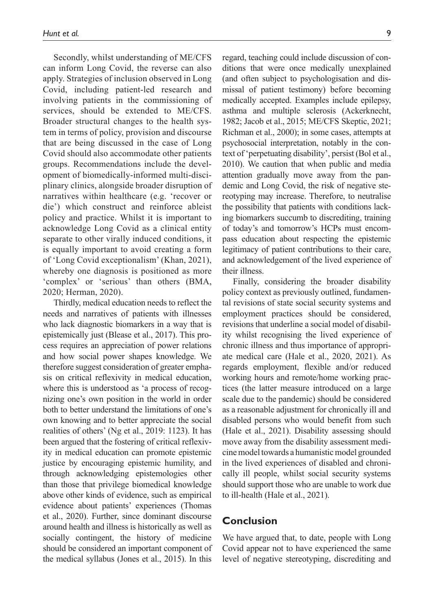Secondly, whilst understanding of ME/CFS can inform Long Covid, the reverse can also apply. Strategies of inclusion observed in Long Covid, including patient-led research and involving patients in the commissioning of services, should be extended to ME/CFS. Broader structural changes to the health system in terms of policy, provision and discourse that are being discussed in the case of Long Covid should also accommodate other patients groups. Recommendations include the development of biomedically-informed multi-disciplinary clinics, alongside broader disruption of narratives within healthcare (e.g. 'recover or die') which construct and reinforce ableist policy and practice. Whilst it is important to acknowledge Long Covid as a clinical entity separate to other virally induced conditions, it is equally important to avoid creating a form of 'Long Covid exceptionalism' (Khan, 2021), whereby one diagnosis is positioned as more 'complex' or 'serious' than others (BMA, 2020; Herman, 2020).

Thirdly, medical education needs to reflect the needs and narratives of patients with illnesses who lack diagnostic biomarkers in a way that is epistemically just (Blease et al., 2017). This process requires an appreciation of power relations and how social power shapes knowledge. We therefore suggest consideration of greater emphasis on critical reflexivity in medical education, where this is understood as 'a process of recognizing one's own position in the world in order both to better understand the limitations of one's own knowing and to better appreciate the social realities of others' (Ng et al., 2019: 1123). It has been argued that the fostering of critical reflexivity in medical education can promote epistemic justice by encouraging epistemic humility, and through acknowledging epistemologies other than those that privilege biomedical knowledge above other kinds of evidence, such as empirical evidence about patients' experiences (Thomas et al., 2020). Further, since dominant discourse around health and illness is historically as well as socially contingent, the history of medicine should be considered an important component of the medical syllabus (Jones et al., 2015). In this

regard, teaching could include discussion of conditions that were once medically unexplained (and often subject to psychologisation and dismissal of patient testimony) before becoming medically accepted. Examples include epilepsy, asthma and multiple sclerosis (Ackerknecht, 1982; Jacob et al., 2015; ME/CFS Skeptic, 2021; Richman et al., 2000); in some cases, attempts at psychosocial interpretation, notably in the context of 'perpetuating disability', persist (Bol et al., 2010). We caution that when public and media attention gradually move away from the pandemic and Long Covid, the risk of negative stereotyping may increase. Therefore, to neutralise the possibility that patients with conditions lacking biomarkers succumb to discrediting, training of today's and tomorrow's HCPs must encompass education about respecting the epistemic legitimacy of patient contributions to their care, and acknowledgement of the lived experience of their illness.

Finally, considering the broader disability policy context as previously outlined, fundamental revisions of state social security systems and employment practices should be considered, revisions that underline a social model of disability whilst recognising the lived experience of chronic illness and thus importance of appropriate medical care (Hale et al., 2020, 2021). As regards employment, flexible and/or reduced working hours and remote/home working practices (the latter measure introduced on a large scale due to the pandemic) should be considered as a reasonable adjustment for chronically ill and disabled persons who would benefit from such (Hale et al., 2021). Disability assessing should move away from the disability assessment medicine model towards a humanistic model grounded in the lived experiences of disabled and chronically ill people, whilst social security systems should support those who are unable to work due to ill-health (Hale et al., 2021).

## **Conclusion**

We have argued that, to date, people with Long Covid appear not to have experienced the same level of negative stereotyping, discrediting and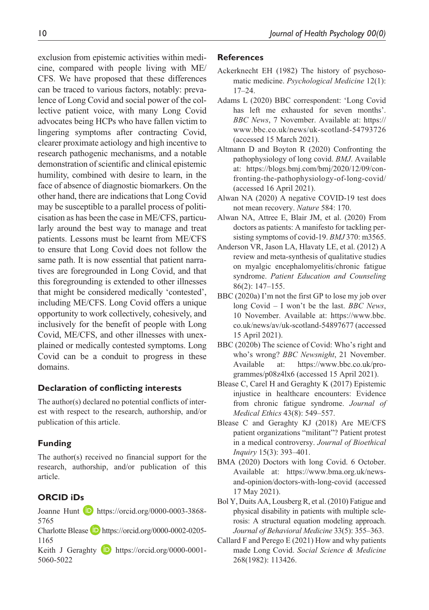exclusion from epistemic activities within medicine, compared with people living with ME/ CFS. We have proposed that these differences can be traced to various factors, notably: prevalence of Long Covid and social power of the collective patient voice, with many Long Covid advocates being HCPs who have fallen victim to lingering symptoms after contracting Covid, clearer proximate aetiology and high incentive to research pathogenic mechanisms, and a notable demonstration of scientific and clinical epistemic humility, combined with desire to learn, in the face of absence of diagnostic biomarkers. On the other hand, there are indications that Long Covid may be susceptible to a parallel process of politicisation as has been the case in ME/CFS, particularly around the best way to manage and treat patients. Lessons must be learnt from ME/CFS to ensure that Long Covid does not follow the same path. It is now essential that patient narratives are foregrounded in Long Covid, and that this foregrounding is extended to other illnesses that might be considered medically 'contested', including ME/CFS. Long Covid offers a unique opportunity to work collectively, cohesively, and inclusively for the benefit of people with Long Covid, ME/CFS, and other illnesses with unexplained or medically contested symptoms. Long Covid can be a conduit to progress in these domains.

### **Declaration of conflicting interests**

The author(s) declared no potential conflicts of interest with respect to the research, authorship, and/or publication of this article.

## **Funding**

The author(s) received no financial support for the research, authorship, and/or publication of this article.

## **ORCID iDs**

Joanne Hunt D [https://orcid.org/0000-0003-3868-](https://orcid.org/0000-0003-3868-5765) [5765](https://orcid.org/0000-0003-3868-5765)

Charlotte Blease **D** [https://orcid.org/0000-0002-0205-](https://orcid.org/0000-0002-0205-1165) [1165](https://orcid.org/0000-0002-0205-1165)

Keith J Geraghty **D** [https://orcid.org/0000-0001-](https://orcid.org/0000-0001-5060-5022) [5060-5022](https://orcid.org/0000-0001-5060-5022)

### **References**

- Ackerknecht EH (1982) The history of psychosomatic medicine. *Psychological Medicine* 12(1): 17–24.
- Adams L (2020) BBC correspondent: 'Long Covid has left me exhausted for seven months'. *BBC News*, 7 November. Available at: [https://](https://www.bbc.co.uk/news/uk-scotland-54793726) [www.bbc.co.uk/news/uk-scotland-54793726](https://www.bbc.co.uk/news/uk-scotland-54793726)  (accessed 15 March 2021).
- Altmann D and Boyton R (2020) Confronting the pathophysiology of long covid. *BMJ*. Available at: [https://blogs.bmj.com/bmj/2020/12/09/con](https://blogs.bmj.com/bmj/2020/12/09/confronting-the-pathophysiology-of-long-covid/)[fronting-the-pathophysiology-of-long-covid/](https://blogs.bmj.com/bmj/2020/12/09/confronting-the-pathophysiology-of-long-covid/)  (accessed 16 April 2021).
- Alwan NA (2020) A negative COVID-19 test does not mean recovery. *Nature* 584: 170.
- Alwan NA, Attree E, Blair JM, et al. (2020) From doctors as patients: A manifesto for tackling persisting symptoms of covid-19. *BMJ* 370: m3565.
- Anderson VR, Jason LA, Hlavaty LE, et al. (2012) A review and meta-synthesis of qualitative studies on myalgic encephalomyelitis/chronic fatigue syndrome. *Patient Education and Counseling* 86(2): 147–155.
- BBC (2020a) I'm not the first GP to lose my job over long Covid – I won't be the last. *BBC News*, 10 November. Available at: [https://www.bbc.](https://www.bbc.co.uk/news/av/uk-scotland-54897677) [co.uk/news/av/uk-scotland-54897677](https://www.bbc.co.uk/news/av/uk-scotland-54897677) (accessed 15 April 2021).
- BBC (2020b) The science of Covid: Who's right and who's wrong? *BBC Newsnight*, 21 November. Available at: [https://www.bbc.co.uk/pro](https://www.bbc.co.uk/programmes/p08z4lx6)[grammes/p08z4lx6](https://www.bbc.co.uk/programmes/p08z4lx6) (accessed 15 April 2021).
- Blease C, Carel H and Geraghty K (2017) Epistemic injustice in healthcare encounters: Evidence from chronic fatigue syndrome. *Journal of Medical Ethics* 43(8): 549–557.
- Blease C and Geraghty KJ (2018) Are ME/CFS patient organizations "militant"? Patient protest in a medical controversy. *Journal of Bioethical Inquiry* 15(3): 393–401.
- BMA (2020) Doctors with long Covid. 6 October. Available at: [https://www.bma.org.uk/news](https://www.bma.org.uk/news-and-opinion/doctors-with-long-covid)[and-opinion/doctors-with-long-covid](https://www.bma.org.uk/news-and-opinion/doctors-with-long-covid) (accessed 17 May 2021).
- Bol Y, Duits AA, Lousberg R, et al. (2010) Fatigue and physical disability in patients with multiple sclerosis: A structural equation modeling approach. *Journal of Behavioral Medicine* 33(5): 355–363.
- Callard F and Perego E (2021) How and why patients made Long Covid. *Social Science & Medicine* 268(1982): 113426.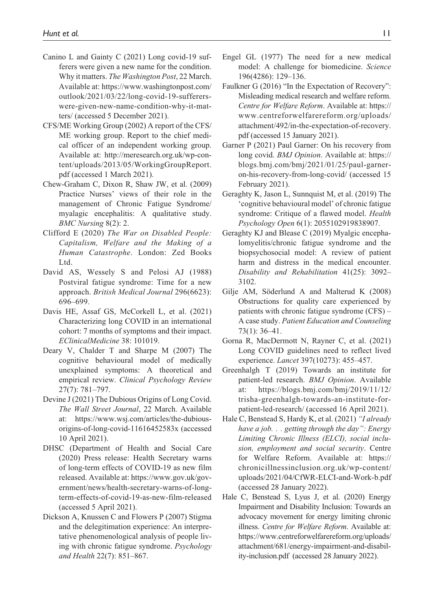- Canino L and Gainty C (2021) Long covid-19 sufferers were given a new name for the condition. Why it matters. *The Washington Post*, 22 March. Available at: [https://www.washingtonpost.com/](https://www.washingtonpost.com/outlook/2021/03/22/long-covid-19-sufferers-were-given-new-name-condition-why-it-matters/) [outlook/2021/03/22/long-covid-19-sufferers](https://www.washingtonpost.com/outlook/2021/03/22/long-covid-19-sufferers-were-given-new-name-condition-why-it-matters/)[were-given-new-name-condition-why-it-mat](https://www.washingtonpost.com/outlook/2021/03/22/long-covid-19-sufferers-were-given-new-name-condition-why-it-matters/)[ters/](https://www.washingtonpost.com/outlook/2021/03/22/long-covid-19-sufferers-were-given-new-name-condition-why-it-matters/) (accessed 5 December 2021).
- CFS/ME Working Group (2002) A report of the CFS/ ME working group. Report to the chief medical officer of an independent working group. Available at: [http://meresearch.org.uk/wp-con](http://meresearch.org.uk/wp-content/uploads/2013/05/WorkingGroupReport.pdf)[tent/uploads/2013/05/WorkingGroupReport.](http://meresearch.org.uk/wp-content/uploads/2013/05/WorkingGroupReport.pdf) [pdf](http://meresearch.org.uk/wp-content/uploads/2013/05/WorkingGroupReport.pdf) (accessed 1 March 2021).
- Chew-Graham C, Dixon R, Shaw JW, et al. (2009) Practice Nurses' views of their role in the management of Chronic Fatigue Syndrome/ myalagic encephalitis: A qualitative study. *BMC Nursing* 8(2): 2.
- Clifford E (2020) *The War on Disabled People: Capitalism, Welfare and the Making of a Human Catastrophe*. London: Zed Books Ltd.
- David AS, Wessely S and Pelosi AJ (1988) Postviral fatigue syndrome: Time for a new approach. *British Medical Journal* 296(6623): 696–699.
- Davis HE, Assaf GS, McCorkell L, et al. (2021) Characterizing long COVID in an international cohort: 7 months of symptoms and their impact. *EClinicalMedicine* 38: 101019.
- Deary V, Chalder T and Sharpe M (2007) The cognitive behavioural model of medically unexplained symptoms: A theoretical and empirical review. *Clinical Psychology Review* 27(7): 781–797.
- Devine J (2021) The Dubious Origins of Long Covid. *The Wall Street Journal*, 22 March. Available at: [https://www.wsj.com/articles/the-dubious](https://www.wsj.com/articles/the-dubious-origins-of-long-covid-11616452583x)[origins-of-long-covid-11616452583x](https://www.wsj.com/articles/the-dubious-origins-of-long-covid-11616452583x) (accessed 10 April 2021).
- DHSC (Department of Health and Social Care (2020) Press release: Health Secretary warns of long-term effects of COVID-19 as new film released. Available at: [https://www.gov.uk/gov](https://www.gov.uk/government/news/health-secretary-warns-of-long-term-effects-of-covid-19-as-new-film-released)[ernment/news/health-secretary-warns-of-long](https://www.gov.uk/government/news/health-secretary-warns-of-long-term-effects-of-covid-19-as-new-film-released)[term-effects-of-covid-19-as-new-film-released](https://www.gov.uk/government/news/health-secretary-warns-of-long-term-effects-of-covid-19-as-new-film-released)  (accessed 5 April 2021).
- Dickson A, Knussen C and Flowers P (2007) Stigma and the delegitimation experience: An interpretative phenomenological analysis of people living with chronic fatigue syndrome. *Psychology and Health* 22(7): 851–867.
- Engel GL (1977) The need for a new medical model: A challenge for biomedicine. *Science* 196(4286): 129–136.
- Faulkner G (2016) "In the Expectation of Recovery": Misleading medical research and welfare reform. *Centre for Welfare Reform*. Available at: [https://](https://www.centreforwelfarereform.org/uploads/attachment/492/in-the-expectation-of-recovery.pdf) [www.centreforwelfarereform.org/uploads/](https://www.centreforwelfarereform.org/uploads/attachment/492/in-the-expectation-of-recovery.pdf) [attachment/492/in-the-expectation-of-recovery.](https://www.centreforwelfarereform.org/uploads/attachment/492/in-the-expectation-of-recovery.pdf) [pdf](https://www.centreforwelfarereform.org/uploads/attachment/492/in-the-expectation-of-recovery.pdf) (accessed 15 January 2021).
- Garner P (2021) Paul Garner: On his recovery from long covid. *BMJ Opinion*. Available at: [https://](https://blogs.bmj.com/bmj/2021/01/25/paul-garner-on-his-recovery-from-long-covid/) [blogs.bmj.com/bmj/2021/01/25/paul-garner](https://blogs.bmj.com/bmj/2021/01/25/paul-garner-on-his-recovery-from-long-covid/)[on-his-recovery-from-long-covid/](https://blogs.bmj.com/bmj/2021/01/25/paul-garner-on-his-recovery-from-long-covid/) (accessed 15 February 2021).
- Geraghty K, Jason L, Sunnquist M, et al. (2019) The 'cognitive behavioural model' of chronic fatigue syndrome: Critique of a flawed model. *Health Psychology Open* 6(1): 2055102919838907.
- Geraghty KJ and Blease C (2019) Myalgic encephalomyelitis/chronic fatigue syndrome and the biopsychosocial model: A review of patient harm and distress in the medical encounter. *Disability and Rehabilitation* 41(25): 3092– 3102.
- Gilje AM, Söderlund A and Malterud K (2008) Obstructions for quality care experienced by patients with chronic fatigue syndrome (CFS) – A case study. *Patient Education and Counseling* 73(1): 36–41.
- Gorna R, MacDermott N, Rayner C, et al. (2021) Long COVID guidelines need to reflect lived experience. *Lancet* 397(10273): 455–457.
- Greenhalgh T (2019) Towards an institute for patient-led research. *BMJ Opinion*. Available at: [https://blogs.bmj.com/bmj/2019/11/12/](https://blogs.bmj.com/bmj/2019/11/12/trisha-greenhalgh-towards-an-institute-for-patient-led-research/) [trisha-greenhalgh-towards-an-institute-for](https://blogs.bmj.com/bmj/2019/11/12/trisha-greenhalgh-towards-an-institute-for-patient-led-research/)[patient-led-research/](https://blogs.bmj.com/bmj/2019/11/12/trisha-greenhalgh-towards-an-institute-for-patient-led-research/) (accessed 16 April 2021).
- Hale C, Benstead S, Hardy K, et al. (2021) *"I already have a job. . . getting through the day": Energy Limiting Chronic Illness (ELCI), social inclusion, employment and social security*. Centre for Welfare Reform. Available at: [https://](https://chronicillnessinclusion.org.uk/wp-content/uploads/2021/04/CfWR-ELCI-and-Work-b.pdf) [chronicillnessinclusion.org.uk/wp-content/](https://chronicillnessinclusion.org.uk/wp-content/uploads/2021/04/CfWR-ELCI-and-Work-b.pdf) [uploads/2021/04/CfWR-ELCI-and-Work-b.pdf](https://chronicillnessinclusion.org.uk/wp-content/uploads/2021/04/CfWR-ELCI-and-Work-b.pdf) (accessed 28 January 2022).
- Hale C, Benstead S, Lyus J, et al. (2020) Energy Impairment and Disability Inclusion: Towards an advocacy movement for energy limiting chronic illness. *Centre for Welfare Reform*. Available at: [https://www.centreforwelfarereform.org/uploads/](https://www.centreforwelfarereform.org/uploads/attachment/681/energy-impairment-and-disability-inclusion.pdf) [attachment/681/energy-impairment-and-disabil](https://www.centreforwelfarereform.org/uploads/attachment/681/energy-impairment-and-disability-inclusion.pdf)[ity-inclusion.pdf](https://www.centreforwelfarereform.org/uploads/attachment/681/energy-impairment-and-disability-inclusion.pdf) (accessed 28 January 2022).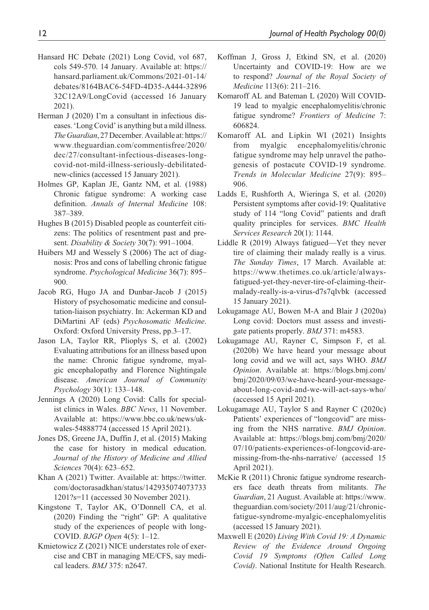- Hansard HC Debate (2021) Long Covid, vol 687, cols 549-570. 14 January. Available at: [https://](https://hansard.parliament.uk/Commons/2021-01-14/debates/8164BAC6-54FD-4D35-A444-3289632C12A9/LongCovid) [hansard.parliament.uk/Commons/2021-01-14/](https://hansard.parliament.uk/Commons/2021-01-14/debates/8164BAC6-54FD-4D35-A444-3289632C12A9/LongCovid) [debates/8164BAC6-54FD-4D35-A444-32896](https://hansard.parliament.uk/Commons/2021-01-14/debates/8164BAC6-54FD-4D35-A444-3289632C12A9/LongCovid) [32C12A9/LongCovid](https://hansard.parliament.uk/Commons/2021-01-14/debates/8164BAC6-54FD-4D35-A444-3289632C12A9/LongCovid) (accessed 16 January 2021).
- Herman J (2020) I'm a consultant in infectious diseases. 'Long Covid' is anything but a mild illness. *The Guardian*, 27 December. Available at: [https://](https://www.theguardian.com/commentisfree/2020/dec/27/consultant-infectious-diseases-long-covid-not-mild-illness-seriously-debilitated-new-clinics) [www.theguardian.com/commentisfree/2020/](https://www.theguardian.com/commentisfree/2020/dec/27/consultant-infectious-diseases-long-covid-not-mild-illness-seriously-debilitated-new-clinics) [dec/27/consultant-infectious-diseases-long](https://www.theguardian.com/commentisfree/2020/dec/27/consultant-infectious-diseases-long-covid-not-mild-illness-seriously-debilitated-new-clinics)[covid-not-mild-illness-seriously-debilitated](https://www.theguardian.com/commentisfree/2020/dec/27/consultant-infectious-diseases-long-covid-not-mild-illness-seriously-debilitated-new-clinics)[new-clinics](https://www.theguardian.com/commentisfree/2020/dec/27/consultant-infectious-diseases-long-covid-not-mild-illness-seriously-debilitated-new-clinics) (accessed 15 January 2021).
- Holmes GP, Kaplan JE, Gantz NM, et al. (1988) Chronic fatigue syndrome: A working case definition. *Annals of Internal Medicine* 108: 387–389.
- Hughes B (2015) Disabled people as counterfeit citizens: The politics of resentment past and present. *Disability & Society* 30(7): 991–1004.
- Huibers MJ and Wessely S (2006) The act of diagnosis: Pros and cons of labelling chronic fatigue syndrome. *Psychological Medicine* 36(7): 895– 900.
- Jacob RG, Hugo JA and Dunbar-Jacob J (2015) History of psychosomatic medicine and consultation-liaison psychiatry. In: Ackerman KD and DiMartini AF (eds) *Psychosomatic Medicine*. Oxford: Oxford University Press, pp.3–17.
- Jason LA, Taylor RR, Plioplys S, et al. (2002) Evaluating attributions for an illness based upon the name: Chronic fatigue syndrome, myalgic encephalopathy and Florence Nightingale disease. *American Journal of Community Psychology* 30(1): 133–148.
- Jennings A (2020) Long Covid: Calls for specialist clinics in Wales. *BBC News*, 11 November. Available at: [https://www.bbc.co.uk/news/uk](https://www.bbc.co.uk/news/uk-wales-54888774)[wales-54888774](https://www.bbc.co.uk/news/uk-wales-54888774) (accessed 15 April 2021).
- Jones DS, Greene JA, Duffin J, et al. (2015) Making the case for history in medical education. *Journal of the History of Medicine and Allied Sciences* 70(4): 623–652.
- Khan A (2021) Twitter. Available at: [https://twitter.](https://twitter.com/doctorasadkhan/status/1429350740737331201?s=11) [com/doctorasadkhan/status/142935074073733](https://twitter.com/doctorasadkhan/status/1429350740737331201?s=11) [1201?s=11](https://twitter.com/doctorasadkhan/status/1429350740737331201?s=11) (accessed 30 November 2021).
- Kingstone T, Taylor AK, O'Donnell CA, et al. (2020) Finding the "right" GP: A qualitative study of the experiences of people with long-COVID. *BJGP Open* 4(5): 1–12.
- Kmietowicz Z (2021) NICE understates role of exercise and CBT in managing ME/CFS, say medical leaders. *BMJ* 375: n2647.
- Koffman J, Gross J, Etkind SN, et al. (2020) Uncertainty and COVID-19: How are we to respond? *Journal of the Royal Society of Medicine* 113(6): 211–216.
- Komaroff AL and Bateman L (2020) Will COVID-19 lead to myalgic encephalomyelitis/chronic fatigue syndrome? *Frontiers of Medicine* 7: 606824.
- Komaroff AL and Lipkin WI (2021) Insights from myalgic encephalomyelitis/chronic fatigue syndrome may help unravel the pathogenesis of postacute COVID-19 syndrome. *Trends in Molecular Medicine* 27(9): 895– 906.
- Ladds E, Rushforth A, Wieringa S, et al. (2020) Persistent symptoms after covid-19: Qualitative study of 114 "long Covid" patients and draft quality principles for services. *BMC Health Services Research* 20(1): 1144.
- Liddle R (2019) Always fatigued—Yet they never tire of claiming their malady really is a virus. *The Sunday Times*, 17 March. Available at: [https://www.thetimes.co.uk/article/always](https://www.thetimes.co.uk/article/always-fatigued-yet-they-never-tire-of-claiming-their-malady-really-is-a-virus-d7s7qlvbk)[fatigued-yet-they-never-tire-of-claiming-their](https://www.thetimes.co.uk/article/always-fatigued-yet-they-never-tire-of-claiming-their-malady-really-is-a-virus-d7s7qlvbk)[malady-really-is-a-virus-d7s7qlvbk](https://www.thetimes.co.uk/article/always-fatigued-yet-they-never-tire-of-claiming-their-malady-really-is-a-virus-d7s7qlvbk) (accessed 15 January 2021).
- Lokugamage AU, Bowen M-A and Blair J (2020a) Long covid: Doctors must assess and investigate patients properly. *BMJ* 371: m4583.
- Lokugamage AU, Rayner C, Simpson F, et al. (2020b) We have heard your message about long covid and we will act, says WHO. *BMJ Opinion*. Available at: [https://blogs.bmj.com/](https://blogs.bmj.com/bmj/2020/09/03/we-have-heard-your-message-about-long-covid-and-we-will-act-says-who/) [bmj/2020/09/03/we-have-heard-your-message](https://blogs.bmj.com/bmj/2020/09/03/we-have-heard-your-message-about-long-covid-and-we-will-act-says-who/)[about-long-covid-and-we-will-act-says-who/](https://blogs.bmj.com/bmj/2020/09/03/we-have-heard-your-message-about-long-covid-and-we-will-act-says-who/)  (accessed 15 April 2021).
- Lokugamage AU, Taylor S and Rayner C (2020c) Patients' experiences of "longcovid" are missing from the NHS narrative. *BMJ Opinion*. Available at: [https://blogs.bmj.com/bmj/2020/](https://blogs.bmj.com/bmj/2020/07/10/patients-experiences-of-longcovid-are-missing-from-the-nhs-narrative/) [07/10/patients-experiences-of-longcovid-are](https://blogs.bmj.com/bmj/2020/07/10/patients-experiences-of-longcovid-are-missing-from-the-nhs-narrative/)[missing-from-the-nhs-narrative/](https://blogs.bmj.com/bmj/2020/07/10/patients-experiences-of-longcovid-are-missing-from-the-nhs-narrative/) (accessed 15 April 2021).
- McKie R (2011) Chronic fatigue syndrome researchers face death threats from militants. *The Guardian*, 21 August. Available at: [https://www.](https://www.theguardian.com/society/2011/aug/21/chronic-fatigue-syndrome-myalgic-encephalomyelitis) [theguardian.com/society/2011/aug/21/chronic](https://www.theguardian.com/society/2011/aug/21/chronic-fatigue-syndrome-myalgic-encephalomyelitis)[fatigue-syndrome-myalgic-encephalomyelitis](https://www.theguardian.com/society/2011/aug/21/chronic-fatigue-syndrome-myalgic-encephalomyelitis)  (accessed 15 January 2021).
- Maxwell E (2020) *Living With Covid 19: A Dynamic Review of the Evidence Around Ongoing Covid 19 Symptoms (Often Called Long Covid)*. National Institute for Health Research.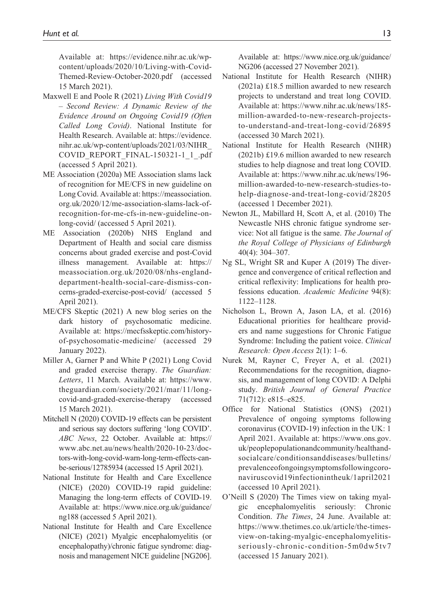Available at: [https://evidence.nihr.ac.uk/wp](https://evidence.nihr.ac.uk/wp-content/uploads/2020/10/Living-with-Covid-Themed-Review-October-2020.pdf)[content/uploads/2020/10/Living-with-Covid-](https://evidence.nihr.ac.uk/wp-content/uploads/2020/10/Living-with-Covid-Themed-Review-October-2020.pdf)[Themed-Review-October-2020.pdf](https://evidence.nihr.ac.uk/wp-content/uploads/2020/10/Living-with-Covid-Themed-Review-October-2020.pdf) (accessed 15 March 2021).

- Maxwell E and Poole R (2021) *Living With Covid19 – Second Review: A Dynamic Review of the Evidence Around on Ongoing Covid19 (Often Called Long Covid)*. National Institute for Health Research. Available at: [https://evidence.](https://evidence.nihr.ac.uk/wp-content/uploads/2021/03/NIHR_COVID_REPORT_FINAL-150321-1_1_.pdf) [nihr.ac.uk/wp-content/uploads/2021/03/NIHR\\_](https://evidence.nihr.ac.uk/wp-content/uploads/2021/03/NIHR_COVID_REPORT_FINAL-150321-1_1_.pdf) [COVID\\_REPORT\\_FINAL-150321-1\\_1\\_.pdf](https://evidence.nihr.ac.uk/wp-content/uploads/2021/03/NIHR_COVID_REPORT_FINAL-150321-1_1_.pdf)  (accessed 5 April 2021).
- ME Association (2020a) ME Association slams lack of recognition for ME/CFS in new guideline on Long Covid. Available at: [https://meassociation.](https://meassociation.org.uk/2020/12/me-association-slams-lack-of-recognition-for-me-cfs-in-new-guideline-on-long-covid/) [org.uk/2020/12/me-association-slams-lack-of](https://meassociation.org.uk/2020/12/me-association-slams-lack-of-recognition-for-me-cfs-in-new-guideline-on-long-covid/)[recognition-for-me-cfs-in-new-guideline-on](https://meassociation.org.uk/2020/12/me-association-slams-lack-of-recognition-for-me-cfs-in-new-guideline-on-long-covid/)[long-covid/](https://meassociation.org.uk/2020/12/me-association-slams-lack-of-recognition-for-me-cfs-in-new-guideline-on-long-covid/) (accessed 5 April 2021).
- ME Association (2020b) NHS England Department of Health and social care dismiss concerns about graded exercise and post-Covid illness management. Available at: [https://](https://meassociation.org.uk/2020/08/nhs-england-department-health-social-care-dismiss-concerns-graded-exercise-post-covid/) [meassociation.org.uk/2020/08/nhs-england](https://meassociation.org.uk/2020/08/nhs-england-department-health-social-care-dismiss-concerns-graded-exercise-post-covid/)[department-health-social-care-dismiss-con](https://meassociation.org.uk/2020/08/nhs-england-department-health-social-care-dismiss-concerns-graded-exercise-post-covid/)[cerns-graded-exercise-post-covid/](https://meassociation.org.uk/2020/08/nhs-england-department-health-social-care-dismiss-concerns-graded-exercise-post-covid/) (accessed 5 April 2021).
- ME/CFS Skeptic (2021) A new blog series on the dark history of psychosomatic medicine. Available at: [https://mecfsskeptic.com/history](https://mecfsskeptic.com/history-of-psychosomatic-medicine/)[of-psychosomatic-medicine/](https://mecfsskeptic.com/history-of-psychosomatic-medicine/) (accessed 29 January 2022).
- Miller A, Garner P and White P (2021) Long Covid and graded exercise therapy. *The Guardian: Letters*, 11 March. Available at: [https://www.](https://www.theguardian.com/society/2021/mar/11/long-covid-and-graded-exercise-therapy) [theguardian.com/society/2021/mar/11/long](https://www.theguardian.com/society/2021/mar/11/long-covid-and-graded-exercise-therapy)[covid-and-graded-exercise-therapy](https://www.theguardian.com/society/2021/mar/11/long-covid-and-graded-exercise-therapy) (accessed 15 March 2021).
- Mitchell N (2020) COVID-19 effects can be persistent and serious say doctors suffering 'long COVID'. *ABC News*, 22 October. Available at: [https://](https://www.abc.net.au/news/health/2020-10-23/doctors-with-long-covid-warn-long-term-effects-can-be-serious/12785934) [www.abc.net.au/news/health/2020-10-23/doc](https://www.abc.net.au/news/health/2020-10-23/doctors-with-long-covid-warn-long-term-effects-can-be-serious/12785934)[tors-with-long-covid-warn-long-term-effects-can](https://www.abc.net.au/news/health/2020-10-23/doctors-with-long-covid-warn-long-term-effects-can-be-serious/12785934)[be-serious/12785934](https://www.abc.net.au/news/health/2020-10-23/doctors-with-long-covid-warn-long-term-effects-can-be-serious/12785934) (accessed 15 April 2021).
- National Institute for Health and Care Excellence (NICE) (2020) COVID-19 rapid guideline: Managing the long-term effects of COVID-19. Available at: [https://www.nice.org.uk/guidance/](https://www.nice.org.uk/guidance/ng188) [ng188](https://www.nice.org.uk/guidance/ng188) (accessed 5 April 2021).
- National Institute for Health and Care Excellence (NICE) (2021) Myalgic encephalomyelitis (or encephalopathy)/chronic fatigue syndrome: diagnosis and management NICE guideline [NG206].

Available at: [https://www.nice.org.uk/guidance/](https://www.nice.org.uk/guidance/NG206) [NG206](https://www.nice.org.uk/guidance/NG206) (accessed 27 November 2021).

- National Institute for Health Research (NIHR) (2021a) £18.5 million awarded to new research projects to understand and treat long COVID. Available at: [https://www.nihr.ac.uk/news/185](https://www.nihr.ac.uk/news/185-million-awarded-to-new-research-projects-to-understand-and-treat-long-covid/26895) [million-awarded-to-new-research-projects](https://www.nihr.ac.uk/news/185-million-awarded-to-new-research-projects-to-understand-and-treat-long-covid/26895)[to-understand-and-treat-long-covid/26895](https://www.nihr.ac.uk/news/185-million-awarded-to-new-research-projects-to-understand-and-treat-long-covid/26895) (accessed 30 March 2021).
- National Institute for Health Research (NIHR) (2021b) £19.6 million awarded to new research studies to help diagnose and treat long COVID. Available at: [https://www.nihr.ac.uk/news/196](https://www.nihr.ac.uk/news/196-million-awarded-to-new-research-studies-to-help-diagnose-and-treat-long-covid/28205) [million-awarded-to-new-research-studies-to](https://www.nihr.ac.uk/news/196-million-awarded-to-new-research-studies-to-help-diagnose-and-treat-long-covid/28205)[help-diagnose-and-treat-long-covid/28205](https://www.nihr.ac.uk/news/196-million-awarded-to-new-research-studies-to-help-diagnose-and-treat-long-covid/28205) (accessed 1 December 2021).
- Newton JL, Mabillard H, Scott A, et al. (2010) The Newcastle NHS chronic fatigue syndrome service: Not all fatigue is the same. *The Journal of the Royal College of Physicians of Edinburgh* 40(4): 304–307.
- Ng SL, Wright SR and Kuper A (2019) The divergence and convergence of critical reflection and critical reflexivity: Implications for health professions education. *Academic Medicine* 94(8): 1122–1128.
- Nicholson L, Brown A, Jason LA, et al. (2016) Educational priorities for healthcare providers and name suggestions for Chronic Fatigue Syndrome: Including the patient voice. *Clinical Research: Open Access* 2(1): 1–6.
- Nurek M, Rayner C, Freyer A, et al. (2021) Recommendations for the recognition, diagnosis, and management of long COVID: A Delphi study. *British Journal of General Practice* 71(712): e815–e825.
- Office for National Statistics (ONS) (2021) Prevalence of ongoing symptoms following coronavirus (COVID-19) infection in the UK: 1 April 2021. Available at: [https://www.ons.gov.](https://www.ons.gov.uk/peoplepopulationandcommunity/healthandsocialcare/conditionsanddiseases/bulletins/prevalenceofongoingsymptomsfollowingcoronaviruscovid19infectionintheuk/1april2021) [uk/peoplepopulationandcommunity/healthand](https://www.ons.gov.uk/peoplepopulationandcommunity/healthandsocialcare/conditionsanddiseases/bulletins/prevalenceofongoingsymptomsfollowingcoronaviruscovid19infectionintheuk/1april2021)[socialcare/conditionsanddiseases/bulletins/](https://www.ons.gov.uk/peoplepopulationandcommunity/healthandsocialcare/conditionsanddiseases/bulletins/prevalenceofongoingsymptomsfollowingcoronaviruscovid19infectionintheuk/1april2021) [prevalenceofongoingsymptomsfollowingcoro](https://www.ons.gov.uk/peoplepopulationandcommunity/healthandsocialcare/conditionsanddiseases/bulletins/prevalenceofongoingsymptomsfollowingcoronaviruscovid19infectionintheuk/1april2021)[naviruscovid19infectionintheuk/1april2021](https://www.ons.gov.uk/peoplepopulationandcommunity/healthandsocialcare/conditionsanddiseases/bulletins/prevalenceofongoingsymptomsfollowingcoronaviruscovid19infectionintheuk/1april2021) (accessed 10 April 2021).
- O'Neill S (2020) The Times view on taking myalgic encephalomyelitis seriously: Chronic Condition. *The Times*, 24 June. Available at: [https://www.thetimes.co.uk/article/the-times](https://www.thetimes.co.uk/article/the-times-view-on-taking-myalgic-encephalomyelitis-seriously-chronic-condition-5m0dw5tv7)[view-on-taking-myalgic-encephalomyelitis](https://www.thetimes.co.uk/article/the-times-view-on-taking-myalgic-encephalomyelitis-seriously-chronic-condition-5m0dw5tv7)[seriously-chronic-condition-5m0dw5tv7](https://www.thetimes.co.uk/article/the-times-view-on-taking-myalgic-encephalomyelitis-seriously-chronic-condition-5m0dw5tv7) (accessed 15 January 2021).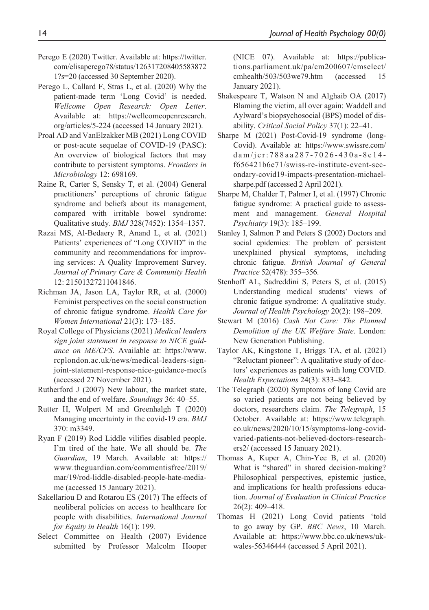- Perego E (2020) Twitter. Available at: [https://twitter.](https://twitter.com/elisaperego78/status/1263172084055838721?s=20) [com/elisaperego78/status/126317208405583872](https://twitter.com/elisaperego78/status/1263172084055838721?s=20) [1?s=20](https://twitter.com/elisaperego78/status/1263172084055838721?s=20) (accessed 30 September 2020).
- Perego L, Callard F, Stras L, et al. (2020) Why the patient-made term 'Long Covid' is needed. *Wellcome Open Research: Open Letter*. Available at: [https://wellcomeopenresearch.](https://wellcomeopenresearch.org/articles/5-224) [org/articles/5-224](https://wellcomeopenresearch.org/articles/5-224) (accessed 14 January 2021).
- Proal AD and VanElzakker MB (2021) Long COVID or post-acute sequelae of COVID-19 (PASC): An overview of biological factors that may contribute to persistent symptoms. *Frontiers in Microbiology* 12: 698169.
- Raine R, Carter S, Sensky T, et al. (2004) General practitioners' perceptions of chronic fatigue syndrome and beliefs about its management, compared with irritable bowel syndrome: Qualitative study. *BMJ* 328(7452): 1354–1357.
- Razai MS, Al-Bedaery R, Anand L, et al. (2021) Patients' experiences of "Long COVID" in the community and recommendations for improving services: A Quality Improvement Survey. *Journal of Primary Care & Community Health* 12: 21501327211041846.
- Richman JA, Jason LA, Taylor RR, et al. (2000) Feminist perspectives on the social construction of chronic fatigue syndrome. *Health Care for Women International* 21(3): 173–185.
- Royal College of Physicians (2021) *Medical leaders sign joint statement in response to NICE guidance on ME/CFS*. Available at: [https://www.](https://www.rcplondon.ac.uk/news/medical-leaders-sign-joint-statement-response-nice-guidance-mecfs) [rcplondon.ac.uk/news/medical-leaders-sign](https://www.rcplondon.ac.uk/news/medical-leaders-sign-joint-statement-response-nice-guidance-mecfs)[joint-statement-response-nice-guidance-mecfs](https://www.rcplondon.ac.uk/news/medical-leaders-sign-joint-statement-response-nice-guidance-mecfs) (accessed 27 November 2021).
- Rutherford J (2007) New labour, the market state, and the end of welfare. *Soundings* 36: 40–55.
- Rutter H, Wolpert M and Greenhalgh T (2020) Managing uncertainty in the covid-19 era. *BMJ* 370: m3349.
- Ryan F (2019) Rod Liddle vilifies disabled people. I'm tired of the hate. We all should be. *The Guardian*, 19 March. Available at: [https://](https://www.theguardian.com/commentisfree/2019/mar/19/rod-liddle-disabled-people-hate-media-me) [www.theguardian.com/commentisfree/2019/](https://www.theguardian.com/commentisfree/2019/mar/19/rod-liddle-disabled-people-hate-media-me) [mar/19/rod-liddle-disabled-people-hate-media](https://www.theguardian.com/commentisfree/2019/mar/19/rod-liddle-disabled-people-hate-media-me)[me](https://www.theguardian.com/commentisfree/2019/mar/19/rod-liddle-disabled-people-hate-media-me) (accessed 15 January 2021).
- Sakellariou D and Rotarou ES (2017) The effects of neoliberal policies on access to healthcare for people with disabilities. *International Journal for Equity in Health* 16(1): 199.
- Select Committee on Health (2007) Evidence submitted by Professor Malcolm Hooper

(NICE 07). Available at: [https://publica](https://publications.parliament.uk/pa/cm200607/cmselect/cmhealth/503/503we79.htm)[tions.parliament.uk/pa/cm200607/cmselect/](https://publications.parliament.uk/pa/cm200607/cmselect/cmhealth/503/503we79.htm) [cmhealth/503/503we79.htm](https://publications.parliament.uk/pa/cm200607/cmselect/cmhealth/503/503we79.htm) (accessed 15 January 2021).

- Shakespeare T, Watson N and Alghaib OA (2017) Blaming the victim, all over again: Waddell and Aylward's biopsychosocial (BPS) model of disability. *Critical Social Policy* 37(1): 22–41.
- Sharpe M (2021) Post-Covid-19 syndrome (long-Covid). Available at: [https://www.swissre.com/](https://www.swissre.com/dam/jcr:788aa287-7026-430a-8c14-f656421b6e71/swiss-re-institute-event-secondary-covid19-impacts-presentation-michael-sharpe.pdf) [dam/jcr:788aa287-7026-430a-8c14](https://www.swissre.com/dam/jcr:788aa287-7026-430a-8c14-f656421b6e71/swiss-re-institute-event-secondary-covid19-impacts-presentation-michael-sharpe.pdf) [f656421b6e71/swiss-re-institute-event-sec](https://www.swissre.com/dam/jcr:788aa287-7026-430a-8c14-f656421b6e71/swiss-re-institute-event-secondary-covid19-impacts-presentation-michael-sharpe.pdf)[ondary-covid19-impacts-presentation-michael](https://www.swissre.com/dam/jcr:788aa287-7026-430a-8c14-f656421b6e71/swiss-re-institute-event-secondary-covid19-impacts-presentation-michael-sharpe.pdf)[sharpe.pdf](https://www.swissre.com/dam/jcr:788aa287-7026-430a-8c14-f656421b6e71/swiss-re-institute-event-secondary-covid19-impacts-presentation-michael-sharpe.pdf) (accessed 2 April 2021).
- Sharpe M, Chalder T, Palmer I, et al. (1997) Chronic fatigue syndrome: A practical guide to assessment and management. *General Hospital Psychiatry* 19(3): 185–199.
- Stanley I, Salmon P and Peters S (2002) Doctors and social epidemics: The problem of persistent unexplained physical symptoms, including chronic fatigue. *British Journal of General Practice* 52(478): 355–356.
- Stenhoff AL, Sadreddini S, Peters S, et al. (2015) Understanding medical students' views of chronic fatigue syndrome: A qualitative study. *Journal of Health Psychology* 20(2): 198–209.
- Stewart M (2016) *Cash Not Care: The Planned Demolition of the UK Welfare State*. London: New Generation Publishing.
- Taylor AK, Kingstone T, Briggs TA, et al. (2021) "Reluctant pioneer": A qualitative study of doctors' experiences as patients with long COVID. *Health Expectations* 24(3): 833–842.
- The Telegraph (2020) Symptoms of long Covid are so varied patients are not being believed by doctors, researchers claim. *The Telegraph*, 15 October. Available at: [https://www.telegraph.](https://www.telegraph.co.uk/news/2020/10/15/symptoms-long-covid-varied-patients-not-believed-doctors-researchers2/) [co.uk/news/2020/10/15/symptoms-long-covid](https://www.telegraph.co.uk/news/2020/10/15/symptoms-long-covid-varied-patients-not-believed-doctors-researchers2/)[varied-patients-not-believed-doctors-research](https://www.telegraph.co.uk/news/2020/10/15/symptoms-long-covid-varied-patients-not-believed-doctors-researchers2/)[ers2/](https://www.telegraph.co.uk/news/2020/10/15/symptoms-long-covid-varied-patients-not-believed-doctors-researchers2/) (accessed 15 January 2021).
- Thomas A, Kuper A, Chin-Yee B, et al. (2020) What is "shared" in shared decision-making? Philosophical perspectives, epistemic justice, and implications for health professions education. *Journal of Evaluation in Clinical Practice* 26(2): 409–418.
- Thomas H (2021) Long Covid patients 'told to go away by GP. *BBC News*, 10 March. Available at: [https://www.bbc.co.uk/news/uk](https://www.bbc.co.uk/news/uk-wales-56346444)[wales-56346444](https://www.bbc.co.uk/news/uk-wales-56346444) (accessed 5 April 2021).